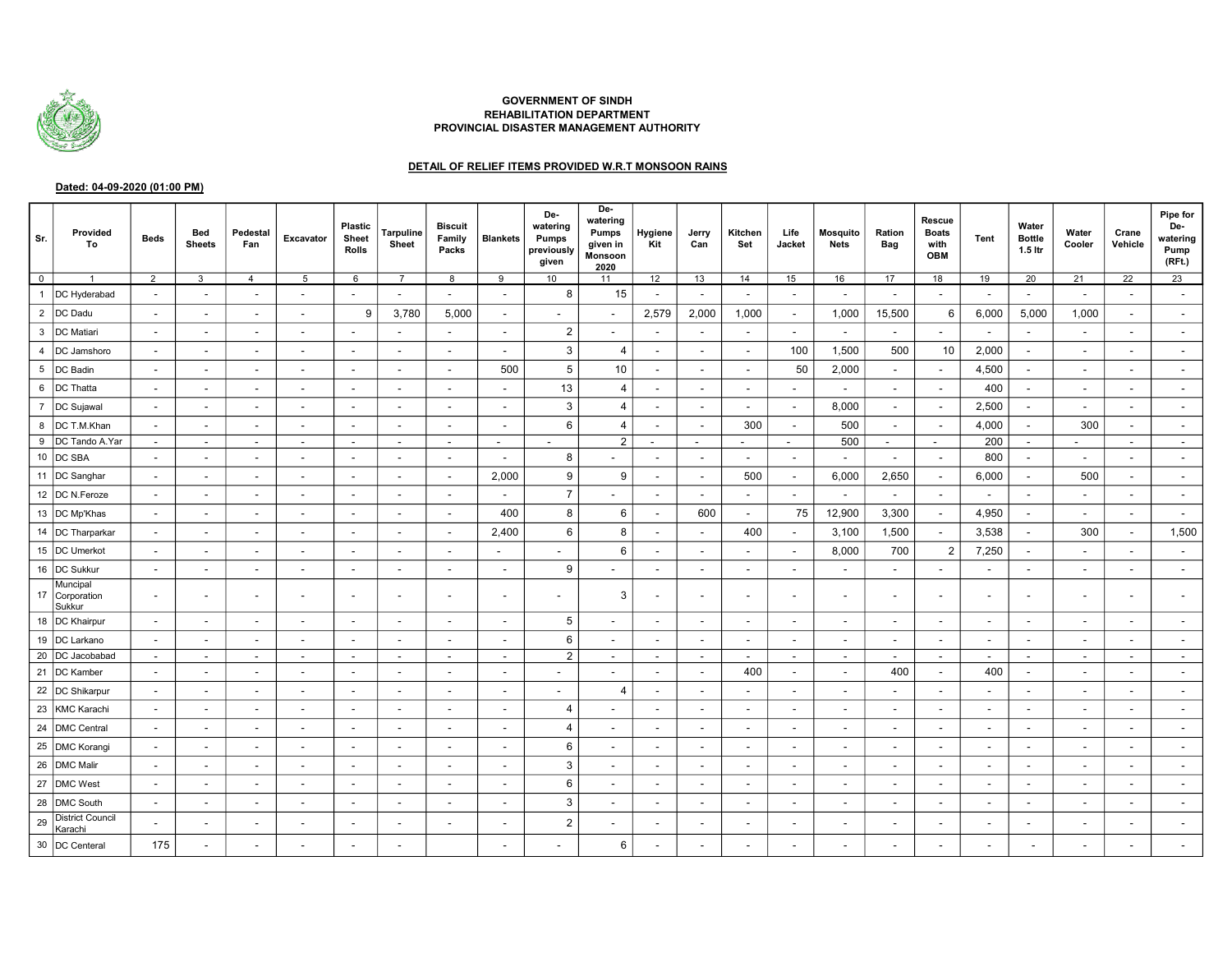

## GOVERNMENT OF SINDH REHABILITATION DEPARTMENT PROVINCIAL DISASTER MANAGEMENT AUTHORITY

## DETAIL OF RELIEF ITEMS PROVIDED W.R.T MONSOON RAINS

## Dated: 04-09-2020 (01:00 PM)

| Sr.            | Provided<br>To                     | <b>Beds</b>              | Bed<br><b>Sheets</b>     | Pedestal<br>Fan          | Excavator                | <b>Plastic</b><br>Sheet<br><b>Rolls</b> | <b>Tarpuline</b><br>Sheet | <b>Biscuit</b><br>Family<br>Packs | <b>Blankets</b>          | De-<br>watering<br>Pumps<br>previously<br>given | De-<br>watering<br>Pumps<br>given in<br><b>Monsoon</b><br>2020 | Hygiene<br>Kit           | Jerry<br>Can             | Kitchen<br>Set           | Life<br>Jacket           | <b>Mosquito</b><br><b>Nets</b> | Ration<br>Bag            | Rescue<br><b>Boats</b><br>with<br>OBM | <b>Tent</b>              | Water<br><b>Bottle</b><br>1.5 ltr | Water<br>Cooler          | Crane<br>Vehicle         | Pipe for<br>De-<br>watering<br>Pump<br>(RFt.) |
|----------------|------------------------------------|--------------------------|--------------------------|--------------------------|--------------------------|-----------------------------------------|---------------------------|-----------------------------------|--------------------------|-------------------------------------------------|----------------------------------------------------------------|--------------------------|--------------------------|--------------------------|--------------------------|--------------------------------|--------------------------|---------------------------------------|--------------------------|-----------------------------------|--------------------------|--------------------------|-----------------------------------------------|
| $\mathbf 0$    | $\overline{1}$                     | $\overline{2}$           | 3                        | $\overline{4}$           | 5                        | $6\phantom{1}6$                         | $\overline{7}$            | 8                                 | 9                        | 10                                              | 11                                                             | 12                       | 13                       | 14                       | 15                       | 16                             | 17                       | 18                                    | 19                       | 20                                | 21                       | 22                       | 23                                            |
| $\mathbf{1}$   | DC Hyderabad                       |                          |                          | $\overline{\phantom{a}}$ | $\overline{\phantom{a}}$ | $\overline{\phantom{a}}$                |                           |                                   | $\sim$                   | 8                                               | 15                                                             |                          |                          |                          | $\overline{\phantom{a}}$ | $\overline{\phantom{a}}$       | $\blacksquare$           | $\blacksquare$                        | $\blacksquare$           | $\overline{\phantom{a}}$          |                          | $\overline{\phantom{a}}$ |                                               |
| $\overline{2}$ | DC Dadu                            | $\overline{\phantom{a}}$ |                          | $\overline{\phantom{a}}$ | $\overline{\phantom{a}}$ | 9                                       | 3,780                     | 5,000                             | $\overline{\phantom{a}}$ | $\blacksquare$                                  |                                                                | 2,579                    | 2,000                    | 1,000                    | $\overline{\phantom{a}}$ | 1,000                          | 15,500                   | 6                                     | 6,000                    | 5,000                             | 1,000                    | $\blacksquare$           |                                               |
| 3              | DC Matiari                         |                          |                          | $\overline{\phantom{a}}$ | $\overline{\phantom{a}}$ | $\overline{\phantom{a}}$                |                           | $\overline{\phantom{a}}$          | $\sim$                   | $\overline{2}$                                  | $\overline{\phantom{a}}$                                       |                          |                          |                          | $\overline{\phantom{a}}$ | $\overline{\phantom{a}}$       | $\overline{\phantom{0}}$ | $\blacksquare$                        | $\overline{\phantom{a}}$ | $\overline{a}$                    |                          |                          |                                               |
| 4              | DC Jamshoro                        |                          |                          | $\overline{\phantom{a}}$ |                          | $\overline{\phantom{a}}$                |                           |                                   | $\overline{\phantom{a}}$ | 3                                               | 4                                                              |                          |                          |                          | 100                      | 1,500                          | 500                      | 10                                    | 2,000                    | $\overline{\phantom{a}}$          |                          |                          |                                               |
| 5              | DC Badin                           |                          |                          | $\overline{\phantom{a}}$ |                          | $\overline{\phantom{a}}$                | $\overline{\phantom{a}}$  | $\overline{\phantom{a}}$          | 500                      | 5                                               | 10                                                             | $\overline{\phantom{a}}$ |                          |                          | 50                       | 2,000                          | $\overline{\phantom{a}}$ | $\overline{\phantom{a}}$              | 4,500                    | $\overline{\phantom{a}}$          | $\overline{\phantom{a}}$ | $\overline{\phantom{a}}$ |                                               |
| 6              | DC Thatta                          |                          |                          | $\overline{\phantom{a}}$ | $\overline{\phantom{a}}$ | $\overline{\phantom{a}}$                | $\blacksquare$            | $\overline{\phantom{a}}$          | $\overline{\phantom{a}}$ | 13                                              | $\overline{4}$                                                 | $\overline{\phantom{a}}$ | $\blacksquare$           |                          | $\overline{\phantom{a}}$ | $\overline{\phantom{a}}$       | $\sim$                   | $\sim$                                | 400                      | $\overline{\phantom{a}}$          | $\overline{\phantom{a}}$ | $\overline{\phantom{a}}$ |                                               |
| $\overline{7}$ | DC Sujawal                         | $\overline{\phantom{a}}$ | $\overline{\phantom{0}}$ | $\overline{\phantom{a}}$ | $\overline{\phantom{a}}$ | $\overline{\phantom{a}}$                | $\overline{\phantom{a}}$  | $\blacksquare$                    | $\overline{\phantom{a}}$ | 3                                               | 4                                                              | $\overline{\phantom{a}}$ | $\overline{\phantom{0}}$ | $\overline{\phantom{0}}$ |                          | 8,000                          | $\sim$                   | $\sim$                                | 2,500                    | $\overline{\phantom{a}}$          | $\overline{\phantom{a}}$ | $\overline{\phantom{a}}$ |                                               |
| 8              | DC T.M.Khan                        |                          |                          | $\overline{\phantom{a}}$ | $\overline{\phantom{a}}$ | $\blacksquare$                          | $\overline{\phantom{a}}$  | $\blacksquare$                    | $\blacksquare$           | 6                                               | 4                                                              |                          |                          | 300                      |                          | 500                            | $\blacksquare$           | $\blacksquare$                        | 4,000                    | $\blacksquare$                    | 300                      |                          |                                               |
| 9              | DC Tando A.Yar                     | $\overline{\phantom{a}}$ | $\overline{\phantom{a}}$ | $\overline{\phantom{a}}$ | $\overline{\phantom{a}}$ | $\sim$                                  | $\overline{\phantom{a}}$  | $\overline{\phantom{a}}$          | $\sim$                   |                                                 | $\overline{2}$                                                 | $\blacksquare$           | $\overline{\phantom{a}}$ | $\blacksquare$           | $\overline{\phantom{a}}$ | 500                            | $\sim$                   | $\sim$                                | 200                      | $\sim$                            | $\overline{\phantom{a}}$ | $\overline{\phantom{a}}$ |                                               |
| 10             | DC SBA                             |                          |                          | $\overline{\phantom{a}}$ |                          | $\overline{\phantom{a}}$                |                           | $\overline{\phantom{a}}$          | $\overline{\phantom{a}}$ | 8                                               |                                                                |                          |                          |                          |                          | $\overline{\phantom{a}}$       | $\blacksquare$           | $\blacksquare$                        | 800                      | $\overline{\phantom{a}}$          | $\overline{\phantom{a}}$ |                          |                                               |
|                | 11  DC Sanghar                     | $\overline{\phantom{a}}$ |                          | $\overline{\phantom{a}}$ | $\overline{\phantom{a}}$ | $\overline{\phantom{a}}$                | $\blacksquare$            | $\blacksquare$                    | 2,000                    | 9                                               | 9                                                              | $\blacksquare$           | $\overline{\phantom{a}}$ | 500                      |                          | 6,000                          | 2,650                    | $\sim$                                | 6,000                    | $\overline{\phantom{a}}$          | 500                      | $\overline{\phantom{a}}$ |                                               |
| 12             | DC N.Feroze                        | $\overline{\phantom{a}}$ |                          | $\overline{\phantom{a}}$ | $\overline{\phantom{a}}$ | $\overline{\phantom{a}}$                | $\overline{\phantom{a}}$  | $\overline{\phantom{a}}$          | $\sim$                   | $\overline{7}$                                  | $\overline{\phantom{0}}$                                       | $\overline{\phantom{a}}$ | $\overline{\phantom{a}}$ | $\overline{\phantom{a}}$ |                          | $\overline{\phantom{a}}$       | $\sim$                   | $\sim$                                | $\sim$                   | $\overline{\phantom{a}}$          | $\overline{\phantom{a}}$ | $\overline{\phantom{a}}$ |                                               |
|                | 13  DC Mp'Khas                     |                          |                          | $\overline{\phantom{a}}$ |                          | $\blacksquare$                          |                           | $\blacksquare$                    | 400                      | 8                                               | 6                                                              |                          | 600                      | $\overline{\phantom{a}}$ | 75                       | 12,900                         | 3,300                    | $\sim$                                | 4,950                    | $\blacksquare$                    | $\overline{\phantom{a}}$ | $\overline{\phantom{a}}$ |                                               |
|                | 14  DC Tharparkar                  | $\overline{\phantom{a}}$ |                          | $\overline{\phantom{a}}$ | $\overline{\phantom{a}}$ | $\overline{\phantom{a}}$                | $\overline{\phantom{a}}$  | $\overline{a}$                    | 2,400                    | 6                                               | 8                                                              | $\overline{\phantom{a}}$ | $\overline{\phantom{a}}$ | 400                      | $\overline{\phantom{a}}$ | 3,100                          | 1,500                    | $\sim$                                | 3,538                    | $\sim$                            | 300                      | $\overline{\phantom{a}}$ | 1,500                                         |
|                | 15  DC Umerkot                     | $\overline{\phantom{a}}$ | $\overline{\phantom{a}}$ | $\overline{\phantom{a}}$ | $\overline{\phantom{a}}$ | $\sim$                                  | $\overline{\phantom{a}}$  | $\blacksquare$                    | $\sim$                   | $\overline{a}$                                  | 6                                                              | $\overline{\phantom{a}}$ | $\overline{\phantom{a}}$ |                          | $\overline{\phantom{a}}$ | 8,000                          | 700                      | 2                                     | 7,250                    | $\overline{\phantom{a}}$          | $\overline{\phantom{a}}$ | $\overline{\phantom{a}}$ |                                               |
| 16             | DC Sukkur                          | $\overline{\phantom{a}}$ | $\overline{\phantom{a}}$ | $\overline{\phantom{a}}$ | $\overline{\phantom{a}}$ | $\overline{\phantom{a}}$                | $\overline{\phantom{a}}$  | $\overline{a}$                    | $\sim$                   | 9                                               |                                                                |                          | $\overline{\phantom{a}}$ | $\overline{a}$           | $\overline{\phantom{a}}$ | $\overline{\phantom{a}}$       | $\overline{\phantom{0}}$ | $\blacksquare$                        | $\overline{a}$           | $\overline{\phantom{a}}$          | $\overline{a}$           | $\overline{\phantom{a}}$ |                                               |
| 17             | Muncipal<br>Corporation<br>Sukkur  |                          |                          | $\overline{\phantom{a}}$ | $\overline{\phantom{a}}$ | $\blacksquare$                          |                           | $\blacksquare$                    | $\sim$                   | ۰                                               | 3                                                              |                          |                          |                          |                          | $\overline{\phantom{a}}$       | $\overline{\phantom{a}}$ | $\blacksquare$                        | $\overline{\phantom{a}}$ | $\overline{\phantom{a}}$          | $\overline{\phantom{a}}$ |                          |                                               |
|                | 18  DC Khairpur                    |                          |                          | $\overline{\phantom{a}}$ | $\overline{\phantom{a}}$ | $\blacksquare$                          | $\overline{\phantom{a}}$  | $\blacksquare$                    | $\sim$                   | 5                                               | $\overline{\phantom{a}}$                                       | $\blacksquare$           |                          |                          | $\overline{\phantom{a}}$ | $\overline{\phantom{a}}$       | $\blacksquare$           | $\blacksquare$                        | $\overline{\phantom{a}}$ | $\overline{\phantom{a}}$          | $\overline{\phantom{a}}$ |                          |                                               |
|                | 19   DC Larkano                    | $\overline{\phantom{a}}$ |                          | $\overline{\phantom{a}}$ | $\overline{\phantom{a}}$ | $\blacksquare$                          | $\overline{\phantom{a}}$  | $\overline{\phantom{a}}$          | $\sim$                   | 6                                               | $\overline{\phantom{a}}$                                       |                          |                          |                          |                          | $\overline{\phantom{a}}$       | $\overline{\phantom{0}}$ | $\overline{\phantom{a}}$              | $\overline{\phantom{a}}$ | $\overline{\phantom{a}}$          | $\overline{\phantom{a}}$ |                          |                                               |
|                | 20  DC Jacobabad                   | $\overline{\phantom{a}}$ | $\sim$                   | $\overline{\phantom{a}}$ | $\overline{\phantom{a}}$ | $\overline{\phantom{a}}$                | $\blacksquare$            | $\overline{\phantom{a}}$          | $\sim$                   | 2                                               | $\overline{\phantom{a}}$                                       | $\sim$                   | $\overline{\phantom{a}}$ | $\overline{a}$           | $\overline{\phantom{a}}$ | $\overline{\phantom{a}}$       | $\sim$                   | $\sim$                                | $\sim$                   | $\sim$                            | $\overline{\phantom{a}}$ | $\blacksquare$           |                                               |
|                | 21  DC Kamber                      |                          |                          | $\overline{\phantom{a}}$ | $\overline{\phantom{a}}$ | $\overline{\phantom{a}}$                |                           |                                   | $\overline{a}$           |                                                 |                                                                |                          |                          | 400                      |                          | $\overline{\phantom{a}}$       | 400                      | $\blacksquare$                        | 400                      | $\overline{\phantom{a}}$          | $\overline{a}$           |                          |                                               |
|                | 22  DC Shikarpur                   | $\overline{\phantom{a}}$ |                          | $\overline{\phantom{a}}$ | $\overline{\phantom{a}}$ | $\overline{\phantom{a}}$                | $\overline{\phantom{a}}$  | $\overline{\phantom{a}}$          | $\sim$                   | $\overline{\phantom{0}}$                        | 4                                                              | $\overline{\phantom{a}}$ |                          |                          |                          | $\overline{\phantom{a}}$       | $\sim$                   | $\overline{\phantom{a}}$              | $\overline{\phantom{a}}$ | $\overline{\phantom{a}}$          | $\overline{\phantom{a}}$ | $\overline{\phantom{a}}$ |                                               |
| 23             | KMC Karachi                        | $\overline{\phantom{a}}$ | $\overline{\phantom{a}}$ | $\overline{\phantom{a}}$ | $\overline{\phantom{a}}$ | $\overline{\phantom{a}}$                | $\overline{\phantom{a}}$  | $\overline{\phantom{a}}$          | $\sim$                   | $\overline{4}$                                  |                                                                | $\overline{\phantom{a}}$ | $\overline{\phantom{a}}$ | $\overline{\phantom{a}}$ | $\overline{\phantom{a}}$ | $\overline{\phantom{a}}$       | $\sim$                   | $\sim$                                | $\overline{\phantom{a}}$ | $\overline{\phantom{a}}$          | $\overline{\phantom{a}}$ | $\overline{\phantom{a}}$ |                                               |
| 24             | DMC Central                        |                          |                          | $\overline{\phantom{a}}$ | $\overline{\phantom{a}}$ | $\blacksquare$                          | $\overline{\phantom{a}}$  | $\overline{\phantom{a}}$          | $\overline{\phantom{a}}$ | 4                                               |                                                                |                          |                          |                          |                          | $\overline{\phantom{0}}$       | $\overline{\phantom{a}}$ | $\overline{\phantom{a}}$              | $\overline{\phantom{a}}$ | $\overline{\phantom{0}}$          | $\overline{\phantom{a}}$ |                          |                                               |
| 25             | <b>DMC Korangi</b>                 |                          |                          | $\overline{\phantom{a}}$ | $\overline{\phantom{a}}$ | $\overline{\phantom{a}}$                | $\overline{\phantom{a}}$  | $\overline{\phantom{a}}$          | $\overline{\phantom{a}}$ | 6                                               |                                                                |                          |                          |                          |                          | $\overline{\phantom{a}}$       |                          | $\overline{\phantom{a}}$              | $\overline{\phantom{a}}$ | $\overline{\phantom{a}}$          | $\overline{\phantom{a}}$ | ٠                        |                                               |
| 26             | <b>DMC Malir</b>                   |                          |                          | $\overline{\phantom{a}}$ | $\overline{\phantom{a}}$ | $\overline{\phantom{a}}$                | $\overline{\phantom{a}}$  | $\overline{\phantom{a}}$          | $\overline{\phantom{a}}$ | 3                                               | ۰                                                              | $\overline{\phantom{a}}$ |                          |                          |                          | $\overline{\phantom{a}}$       | $\overline{\phantom{a}}$ | $\overline{\phantom{a}}$              | $\overline{\phantom{a}}$ | $\overline{\phantom{a}}$          | $\overline{\phantom{a}}$ | $\overline{\phantom{a}}$ |                                               |
| 27             | DMC West                           |                          |                          | $\overline{\phantom{a}}$ | $\overline{\phantom{a}}$ | $\overline{\phantom{a}}$                | $\overline{\phantom{a}}$  | $\blacksquare$                    | $\sim$                   | 6                                               | $\overline{\phantom{a}}$                                       | $\overline{\phantom{a}}$ |                          |                          |                          | $\overline{\phantom{a}}$       | $\overline{\phantom{a}}$ | $\sim$                                | $\sim$                   | $\overline{\phantom{a}}$          | $\overline{\phantom{a}}$ | $\overline{\phantom{a}}$ |                                               |
| 28             | DMC South                          |                          |                          | $\overline{\phantom{a}}$ | $\overline{\phantom{a}}$ | $\overline{\phantom{a}}$                | $\overline{\phantom{a}}$  | $\overline{\phantom{a}}$          | $\overline{\phantom{a}}$ | 3                                               | $\overline{\phantom{0}}$                                       | $\sim$                   |                          |                          |                          | $\overline{\phantom{a}}$       | $\overline{a}$           | $\sim$                                | $\overline{\phantom{a}}$ | $\overline{\phantom{a}}$          | $\overline{\phantom{a}}$ | $\overline{\phantom{a}}$ |                                               |
| 29             | <b>District Council</b><br>Karachi |                          |                          | $\overline{\phantom{a}}$ |                          | $\blacksquare$                          | $\overline{\phantom{a}}$  | $\overline{a}$                    | $\blacksquare$           | $\overline{2}$                                  |                                                                |                          |                          |                          |                          |                                |                          | $\blacksquare$                        | $\overline{\phantom{a}}$ |                                   | $\overline{\phantom{a}}$ |                          |                                               |
| 30             | DC Centeral                        | 175                      |                          |                          |                          |                                         |                           |                                   |                          |                                                 | 6                                                              |                          |                          |                          |                          |                                |                          |                                       |                          |                                   |                          |                          |                                               |